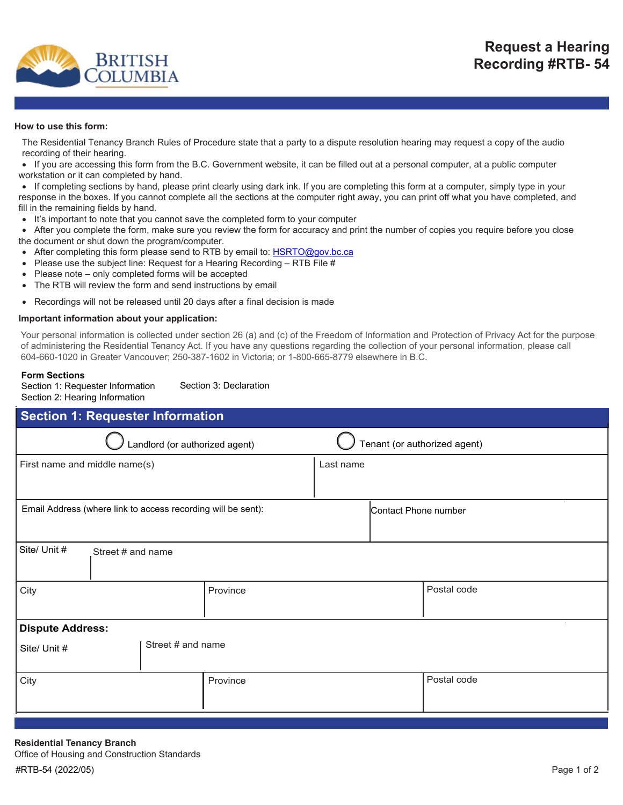

## **How to use this form:**

The Residential Tenancy Branch Rules of Procedure state that a party to a dispute resolution hearing may request a copy of the audio recording of their hearing.

• If you are accessing this form from the B.C. Government website, it can be filled out at a personal computer, at a public computer workstation or it can completed by hand.

• If completing sections by hand, please print clearly using dark ink. If you are completing this form at a computer, simply type in your response in the boxes. If you cannot complete all the sections at the computer right away, you can print off what you have completed, and fill in the remaining fields by hand.

It's important to note that you cannot save the completed form to your computer

• After you complete the form, make sure you review the form for accuracy and print the number of copies you require before you close the document or shut down the program/computer.

- After completing this form please send to RTB by email to: [HSRTO@gov.bc.ca](mailto:HSRTO@gov.bc.ca)
- Please use the subject line: Request for a Hearing Recording RTB File #
- Please note only completed forms will be accepted
- The RTB will review the form and send instructions by email
- Recordings will not be released until 20 days after a final decision is made

## **Important information about your application:**

Your personal information is collected under section 26 (a) and (c) of the Freedom of Information and Protection of Privacy Act for the purpose of administering the Residential Tenancy Act. If you have any questions regarding the collection of your personal information, please call 604-660-1020 in Greater Vancouver; 250-387-1602 in Victoria; or 1-800-665-8779 elsewhere in B.C.

## **Form Sections**

Section 1: Requester Information Section 2: Hearing Information

Section 3: Declaration

| <b>Section 1: Requester Information</b>                      |                                |                              |  |  |  |
|--------------------------------------------------------------|--------------------------------|------------------------------|--|--|--|
|                                                              | Landlord (or authorized agent) | Tenant (or authorized agent) |  |  |  |
| First name and middle name(s)                                |                                | Last name                    |  |  |  |
| Email Address (where link to access recording will be sent): |                                | Contact Phone number         |  |  |  |
| Site/ Unit #<br>Street # and name                            |                                |                              |  |  |  |
| City                                                         | Province                       | Postal code                  |  |  |  |
| <b>Dispute Address:</b>                                      |                                |                              |  |  |  |
| Site/ Unit #                                                 | Street # and name              |                              |  |  |  |
| City                                                         | Province                       | Postal code                  |  |  |  |